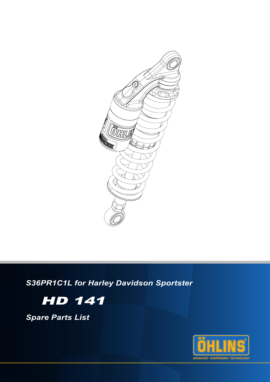

S36PR1C1L for Harley Davidson Sportster



**Spare Parts List** 

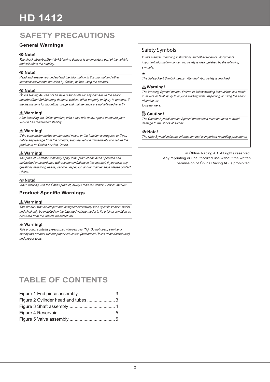## **SAFETY PRECAUTIONS**

## **General Warnings**

## **Note!**

The shock absorber/front fork/steering damper is an important part of the vehicle and will affect the stability.

## **Note!**

Read and ensure you understand the information in this manual and other technical documents provided by Öhlins, before using the product.

#### **Note!**

Öhlins Racing AB can not be held responsible for any damage to the shock absorber/front fork/steering damper, vehicle, other property or injury to persons, if the instructions for mounting, usage and maintenance are not followed exactly.

### **Warning!**

After installing the Öhlins product, take a test ride at low speed to ensure your vehicle has maintained stability.

## **Warning!**

If the suspension makes an abnormal noise, or the function is irregular, or if you notice any leakage from the product, stop the vehicle immediately and return the product to an Öhlins Service Centre.

### **Warning!**

The product warranty shall only apply if the product has been operated and maintained in accordance with recommendations in this manual. If you have any questions regarding usage, service, inspection and/or maintenance please contact Öhlins.

## **Note!**

When working with the Öhlins product, always read the Vehicle Service Manual.

## **Product Specific Warnings**

#### **Warning!**

This product was developed and designed exclusively for a specific vehicle model and shall only be installed on the intended vehicle model in its original condition as delivered from the vehicle manufacturer.

#### **Warning!**

This product contains pressurized nitrogen gas  $(N<sub>2</sub>)$ . Do not open, service or modify this product without proper education (authorized Öhlins dealer/distributor) and proper tools.

## Safety Symbols

In this manual, mounting instructions and other technical documents, important information concerning safety is distinguished by the following symbols:

## $\triangle$

The Safety Alert Symbol means: Warning! Your safety is involved.

#### **Warning!**

The Warning Symbol means: Failure to follow warning instructions can result in severe or fatal injury to anyone working with, inspecting or using the shock absorber, or to bystanders.

## **Caution!**

The Caution Symbol means: Special precautions must be taken to avoid damage to the shock absorber.

#### **Note!**

The Note Symbol indicates information that is important regarding procedures.

© Öhlins Racing AB. All rights reserved. Any reprinting or unauthorized use without the written permission of Öhlins Racing AB is prohibited.

## **TABLE OF CONTENTS**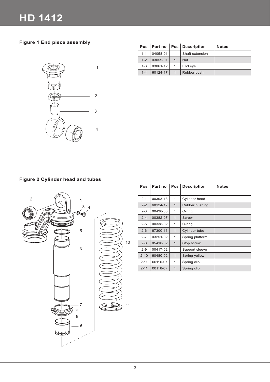**Figure 1 End piece assembly**



| <b>Pos</b> |          |              | Part no   Pcs   Description | <b>Notes</b> |
|------------|----------|--------------|-----------------------------|--------------|
| $1 - 1$    | 04058-01 |              | Shaft extension             |              |
| $1 - 2$    | 03059-01 |              | <b>Nut</b>                  |              |
| $1 - 3$    | 03061-12 | -1           | End eye                     |              |
| $1 - 4$    | 60124-17 | $\mathbf{1}$ | Rubber bush                 |              |

## **Figure 2 Cylinder head and tubes**



| Pos      | Part no  | Pcs          | <b>Description</b> | <b>Notes</b> |
|----------|----------|--------------|--------------------|--------------|
| $2 - 1$  | 00303-13 | 1            | Cylinder head      |              |
| $2 - 2$  | 60124-17 | $\mathbf{1}$ | Rubber bushing     |              |
| $2 - 3$  | 00438-33 | 1            | O-ring             |              |
| $2 - 4$  | 00382-07 | $\mathbf{1}$ | Screw              |              |
| $2 - 5$  | 00338-02 | 1            | O-ring             |              |
| $2 - 6$  | 67300-13 | $\mathbf{1}$ | Cylinder tube      |              |
| $2 - 7$  | 03251-02 | 1            | Spring platform    |              |
| $2 - 8$  | 05410-02 | $\mathbf{1}$ | Stop screw         |              |
| $2 - 9$  | 00417-02 | 1            | Support sleeve     |              |
| $2 - 10$ | 60480-02 | $\mathbf{1}$ | Spring yellow      |              |
| $2 - 11$ | 00116-07 | 1            | Spring clip        |              |
| $2 - 11$ | 00116-07 | $\mathbf{1}$ | Spring clip        |              |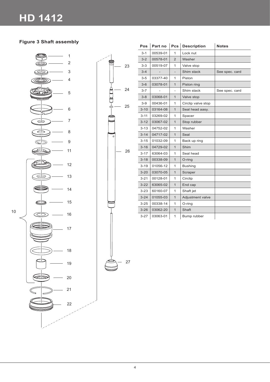## **Figure 3 Shaft assembly**



10



| <b>Pos</b> | Part no  | Pcs            | <b>Description</b> | <b>Notes</b>   |
|------------|----------|----------------|--------------------|----------------|
| $3 - 1$    | 00539-01 | 1              | Lock nut           |                |
| $3 - 2$    | 00578-01 | $\overline{2}$ | Washer             |                |
| $3 - 3$    | 00519-07 | 1              | Valve stop         |                |
| $3 - 4$    |          |                | Shim stack         | See spec. card |
| $3 - 5$    | 03377-40 | 1              | Piston             |                |
| $3-6$      | 03078-01 | $\mathbf{1}$   | Piston ring        |                |
| $3 - 7$    |          |                | Shim stack         | See spec. card |
| $3 - 8$    | 03068-01 | $\mathbf{1}$   | Valve stop         |                |
| $3-9$      | 00436-01 | 1              | Circlip valve stop |                |
| $3 - 10$   | 03164-08 | $\mathbf{1}$   | Seal head aasy.    |                |
| $3 - 11$   | 03269-02 | 1              | Spacer             |                |
| $3 - 12$   | 03067-02 | 1              | Stop rubber        |                |
| $3 - 13$   | 04752-02 | 1              | Washer             |                |
| $3 - 14$   | 04717-02 | 1              | Seal               |                |
| $3 - 15$   | 01032-09 | 1              | Back up ring       |                |
| $3 - 16$   | 04729-02 | $\mathbf{1}$   | Shim               |                |
| $3 - 17$   | 63064-03 | 1              | Seal head          |                |
| $3 - 18$   | 00338-09 | 1              | O-ring             |                |
| $3 - 19$   | 01056-12 | 1              | <b>Bushing</b>     |                |
| $3 - 20$   | 03070-05 | $\mathbf{1}$   | Scraper            |                |
| $3 - 21$   | 00128-01 | 1              | Circlip            |                |
| $3 - 22$   | 63065-02 | 1              | End cap            |                |
| $3 - 23$   | 60160-07 | 1              | Shaft jet          |                |
| $3 - 24$   | 01055-03 | 1              | Adjustment valve   |                |
| $3 - 25$   | 00338-14 | 1              | O-ring             |                |
| $3 - 26$   | 03062-20 | $\mathbf{1}$   | Shaft              |                |
| $3 - 27$   | 03063-01 | 1              | Bump rubber        |                |

4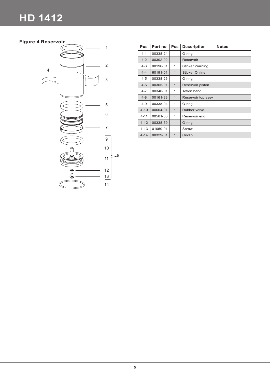# **HD 1412**

## **Figure 4 Reservoir**



| Pos      | Part no  | <b>Pcs</b>   | <b>Description</b>     | <b>Notes</b> |
|----------|----------|--------------|------------------------|--------------|
| $4 - 1$  | 00338-24 | 1            | O-ring                 |              |
| $4 - 2$  | 00302-02 | $\mathbf{1}$ | Reservoir              |              |
| $4 - 3$  | 00196-01 | 1            | <b>Sticker Warning</b> |              |
| $4 - 4$  | 60191-01 | $\mathbf{1}$ | Sticker Öhlins         |              |
| $4 - 5$  | 00338-26 | 1            | O-ring                 |              |
| $4 - 6$  | 00305-01 | $\mathbf{1}$ | Reservoir piston       |              |
| $4 - 7$  | 00340-01 | 1            | Teflon band            |              |
| $4 - 8$  | 00161-83 | $\mathbf{1}$ | Reservoir top assy     |              |
| $4 - 9$  | 00338-04 | 1            | O-ring                 |              |
| $4 - 10$ | 00604-01 | $\mathbf{1}$ | Rubber valve           |              |
| $4 - 11$ | 00561-03 | 1            | Reservoir end          |              |
| $4 - 12$ | 00338-59 | $\mathbf{1}$ | O-ring                 |              |
| $4 - 13$ | 01050-01 | 1            | Screw                  |              |
| $4 - 14$ | 00329-01 | $\mathbf{1}$ | Circlip                |              |